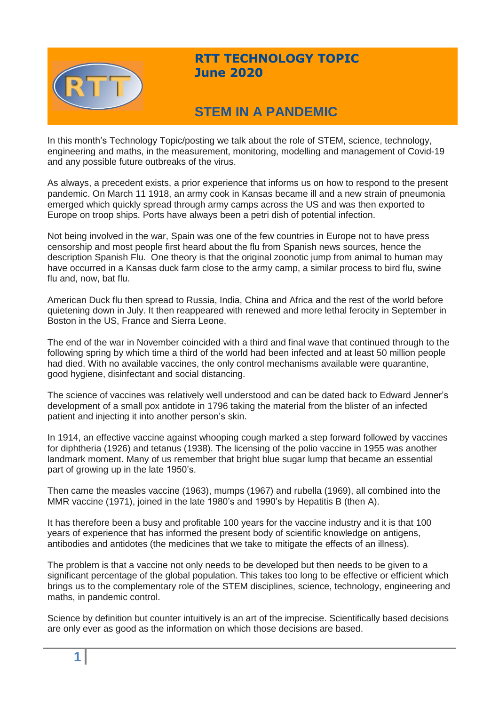

## **RTT TECHNOLOGY TOPIC June 2020**

# **STEM IN A PANDEMIC**

In this month's Technology Topic/posting we talk about the role of STEM, science, technology, engineering and maths, in the measurement, monitoring, modelling and management of Covid-19 and any possible future outbreaks of the virus.

As always, a precedent exists, a prior experience that informs us on how to respond to the present pandemic. On March 11 1918, an army cook in Kansas became ill and a new strain of pneumonia emerged which quickly spread through army camps across the US and was then exported to Europe on troop ships. Ports have always been a petri dish of potential infection.

Not being involved in the war, Spain was one of the few countries in Europe not to have press censorship and most people first heard about the flu from Spanish news sources, hence the description Spanish Flu. One theory is that the original zoonotic jump from animal to human may have occurred in a Kansas duck farm close to the army camp, a similar process to bird flu, swine flu and, now, bat flu.

American Duck flu then spread to Russia, India, China and Africa and the rest of the world before quietening down in July. It then reappeared with renewed and more lethal ferocity in September in Boston in the US, France and Sierra Leone.

The end of the war in November coincided with a third and final wave that continued through to the following spring by which time a third of the world had been infected and at least 50 million people had died. With no available vaccines, the only control mechanisms available were quarantine, good hygiene, disinfectant and social distancing.

The science of vaccines was relatively well understood and can be dated back to Edward Jenner's development of a small pox antidote in 1796 taking the material from the blister of an infected patient and injecting it into another person's skin.

In 1914, an effective vaccine against whooping cough marked a step forward followed by vaccines for diphtheria (1926) and tetanus (1938). The licensing of the polio vaccine in 1955 was another landmark moment. Many of us remember that bright blue sugar lump that became an essential part of growing up in the late 1950's.

Then came the measles vaccine (1963), mumps (1967) and rubella (1969), all combined into the MMR vaccine (1971), joined in the late 1980's and 1990's by Hepatitis B (then A).

It has therefore been a busy and profitable 100 years for the vaccine industry and it is that 100 years of experience that has informed the present body of scientific knowledge on antigens, antibodies and antidotes (the medicines that we take to mitigate the effects of an illness).

The problem is that a vaccine not only needs to be developed but then needs to be given to a significant percentage of the global population. This takes too long to be effective or efficient which brings us to the complementary role of the STEM disciplines, science, technology, engineering and maths, in pandemic control.

Science by definition but counter intuitively is an art of the imprecise. Scientifically based decisions are only ever as good as the information on which those decisions are based.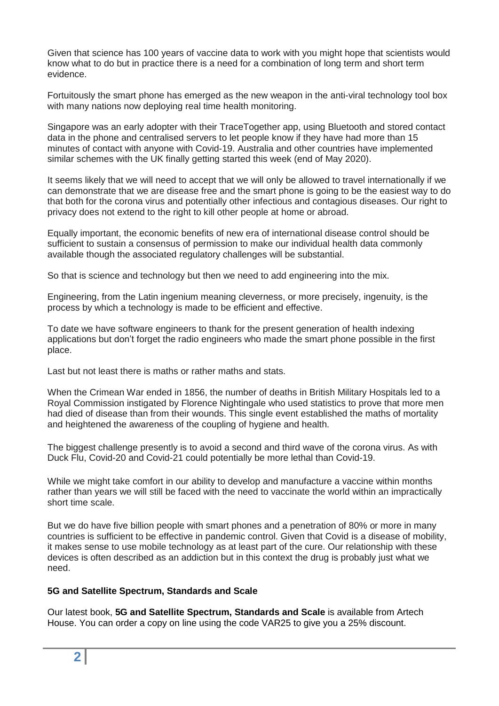Given that science has 100 years of vaccine data to work with you might hope that scientists would know what to do but in practice there is a need for a combination of long term and short term evidence.

Fortuitously the smart phone has emerged as the new weapon in the anti-viral technology tool box with many nations now deploying real time health monitoring.

Singapore was an early adopter with their TraceTogether app, using Bluetooth and stored contact data in the phone and centralised servers to let people know if they have had more than 15 minutes of contact with anyone with Covid-19. Australia and other countries have implemented similar schemes with the UK finally getting started this week (end of May 2020).

It seems likely that we will need to accept that we will only be allowed to travel internationally if we can demonstrate that we are disease free and the smart phone is going to be the easiest way to do that both for the corona virus and potentially other infectious and contagious diseases. Our right to privacy does not extend to the right to kill other people at home or abroad.

Equally important, the economic benefits of new era of international disease control should be sufficient to sustain a consensus of permission to make our individual health data commonly available though the associated regulatory challenges will be substantial.

So that is science and technology but then we need to add engineering into the mix.

Engineering, from the Latin ingenium meaning cleverness, or more precisely, ingenuity, is the process by which a technology is made to be efficient and effective.

To date we have software engineers to thank for the present generation of health indexing applications but don't forget the radio engineers who made the smart phone possible in the first place.

Last but not least there is maths or rather maths and stats.

When the Crimean War ended in 1856, the number of deaths in British Military Hospitals led to a Royal Commission instigated by Florence Nightingale who used statistics to prove that more men had died of disease than from their wounds. This single event established the maths of mortality and heightened the awareness of the coupling of hygiene and health.

The biggest challenge presently is to avoid a second and third wave of the corona virus. As with Duck Flu, Covid-20 and Covid-21 could potentially be more lethal than Covid-19.

While we might take comfort in our ability to develop and manufacture a vaccine within months rather than years we will still be faced with the need to vaccinate the world within an impractically short time scale.

But we do have five billion people with smart phones and a penetration of 80% or more in many countries is sufficient to be effective in pandemic control. Given that Covid is a disease of mobility, it makes sense to use mobile technology as at least part of the cure. Our relationship with these devices is often described as an addiction but in this context the drug is probably just what we need.

#### **5G and Satellite Spectrum, Standards and Scale**

Our latest book, **5G and Satellite Spectrum, Standards and Scale** is available from Artech House. You can order a copy on line using the code VAR25 to give you a 25% discount.